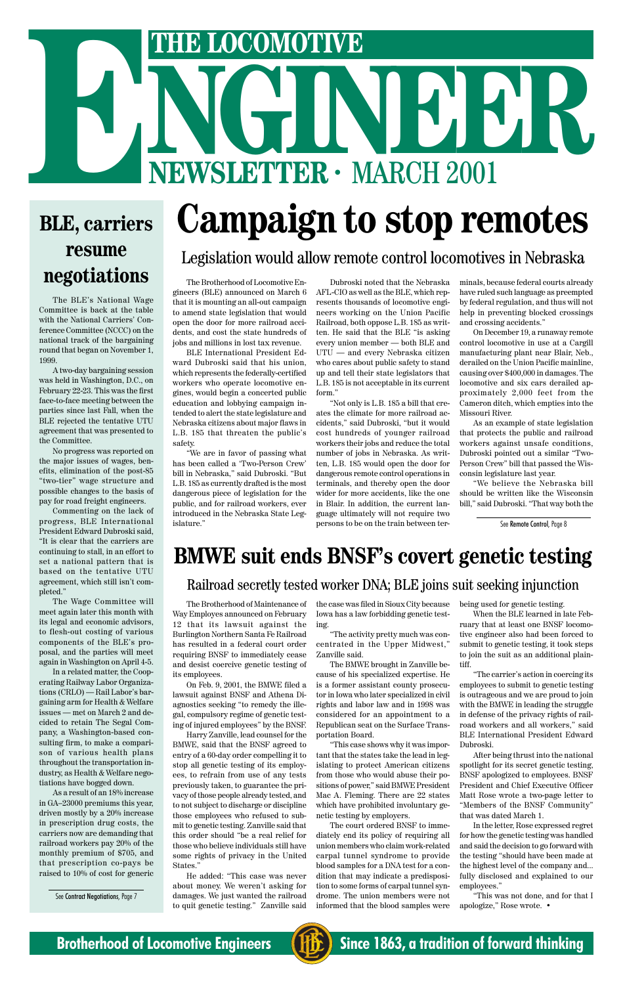# **Campaign to stop remotes**

### Legislation would allow remote control locomotives in Nebraska

The Brotherhood of Locomotive Engineers (BLE) announced on March 6 that it is mounting an all-out campaign to amend state legislation that would open the door for more railroad accidents, and cost the state hundreds of jobs and millions in lost tax revenue.

BLE International President Edward Dubroski said that his union, which represents the federally-certified workers who operate locomotive engines, would begin a concerted public education and lobbying campaign intended to alert the state legislature and Nebraska citizens about major flaws in L.B. 185 that threaten the public's safety.

"We are in favor of passing what has been called a 'Two-Person Crew' bill in Nebraska," said Dubroski. "But L.B. 185 as currently drafted is the most dangerous piece of legislation for the public, and for railroad workers, ever introduced in the Nebraska State Legislature."

Dubroski noted that the Nebraska AFL-CIO as well as the BLE, which represents thousands of locomotive engineers working on the Union Pacific Railroad, both oppose L.B. 185 as written. He said that the BLE "is asking every union member — both BLE and UTU — and every Nebraska citizen who cares about public safety to stand up and tell their state legislators that L.B. 185 is not acceptable in its current form."

"Not only is L.B. 185 a bill that creates the climate for more railroad accidents," said Dubroski, "but it would cost hundreds of younger railroad workers their jobs and reduce the total number of jobs in Nebraska. As written, L.B. 185 would open the door for dangerous remote control operations in terminals, and thereby open the door wider for more accidents, like the one in Blair. In addition, the current language ultimately will not require two persons to be on the train between terminals, because federal courts already have ruled such language as preempted by federal regulation, and thus will not help in preventing blocked crossings and crossing accidents."

On December 19, a runaway remote control locomotive in use at a Cargill manufacturing plant near Blair, Neb., derailed on the Union Pacific mainline, causing over \$400,000 in damages. The locomotive and six cars derailed approximately 2,000 feet from the Cameron ditch, which empties into the Missouri River.

As an example of state legislation that protects the public and railroad workers against unsafe conditions, Dubroski pointed out a similar "Two-Person Crew" bill that passed the Wisconsin legislature last year.

"We believe the Nebraska bill should be written like the Wisconsin bill," said Dubroski. "That way both the

See Contract Negotiations, Page 7

The BLE's National Wage Committee is back at the table with the National Carriers' Conference Committee (NCCC) on the national track of the bargaining round that began on November 1, 1999.

A two-day bargaining session was held in Washington, D.C., on February 22-23. This was the first face-to-face meeting between the parties since last Fall, when the BLE rejected the tentative UTU agreement that was presented to the Committee.

No progress was reported on the major issues of wages, benefits, elimination of the post-85 "two-tier" wage structure and possible changes to the basis of pay for road freight engineers.

Commenting on the lack of progress, BLE International President Edward Dubroski said, "It is clear that the carriers are continuing to stall, in an effort to set a national pattern that is based on the tentative UTU agreement, which still isn't completed."

The Wage Committee will meet again later this month with its legal and economic advisors, to flesh-out costing of various components of the BLE's proposal, and the parties will meet again in Washington on April 4-5.

In a related matter, the Cooperating Railway Labor Organizations (CRLO) — Rail Labor's bargaining arm for Health & Welfare issues — met on March 2 and decided to retain The Segal Company, a Washington-based consulting firm, to make a comparison of various health plans throughout the transportation industry, as Health & Welfare negotiations have bogged down. As a result of an 18% increase in GA–23000 premiums this year, driven mostly by a 20% increase in prescription drug costs, the carriers now are demanding that railroad workers pay 20% of the monthly premium of \$705, and that prescription co-pays be raised to 10% of cost for generic

The Brotherhood of Maintenance of Way Employes announced on February 12 that its lawsuit against the Burlington Northern Santa Fe Railroad has resulted in a federal court order requiring BNSF to immediately cease and desist coercive genetic testing of its employees.

On Feb. 9, 2001, the BMWE filed a lawsuit against BNSF and Athena Diagnostics seeking "to remedy the illegal, compulsory regime of genetic testing of injured employees" by the BNSF. Harry Zanville, lead counsel for the BMWE, said that the BNSF agreed to entry of a 60-day order compelling it to stop all genetic testing of its employees, to refrain from use of any tests previously taken, to guarantee the privacy of those people already tested, and to not subject to discharge or discipline those employees who refused to submit to genetic testing. Zanville said that this order should "be a real relief for those who believe individuals still have some rights of privacy in the United States."

He added: "This case was never about money. We weren't asking for damages. We just wanted the railroad to quit genetic testing." Zanville said

the case was filed in Sioux City because Iowa has a law forbidding genetic testing.

"The activity pretty much was concentrated in the Upper Midwest," Zanville said.

The BMWE brought in Zanville because of his specialized expertise. He is a former assistant county prosecutor in Iowa who later specialized in civil rights and labor law and in 1998 was considered for an appointment to a Republican seat on the Surface Transportation Board.

"This case shows why it was important that the states take the lead in legislating to protect American citizens from those who would abuse their positions of power," said BMWE President Mac A. Fleming. There are 22 states which have prohibited involuntary genetic testing by employers.

The court ordered BNSF to immediately end its policy of requiring all union members who claim work-related carpal tunnel syndrome to provide blood samples for a DNA test for a condition that may indicate a predisposition to some forms of carpal tunnel syndrome. The union members were not informed that the blood samples were being used for genetic testing.

When the BLE learned in late February that at least one BNSF locomotive engineer also had been forced to submit to genetic testing, it took steps to join the suit as an additional plaintiff.

"The carrier's action in coercing its employees to submit to genetic testing is outrageous and we are proud to join with the BMWE in leading the struggle in defense of the privacy rights of railroad workers and all workers," said BLE International President Edward Dubroski.

After being thrust into the national spotlight for its secret genetic testing, BNSF apologized to employees. BNSF President and Chief Executive Officer Matt Rose wrote a two-page letter to "Members of the BNSF Community" that was dated March 1.

In the letter, Rose expressed regret for how the genetic testing was handled and said the decision to go forward with the testing "should have been made at the highest level of the company and... fully disclosed and explained to our employees."

"This was not done, and for that I apologize," Rose wrote. •

#### **Brotherhood of Locomotive Engineers (HE)** Since 1863, a tradition of forward thinking



# THE LOCOMOTIVE<br>
NEWSLETTER · MARCH 2001 **EXERCIC PRODUCTIVE**<br> **EXERCISE CAMPAIGN LOS COD TEL.**<br> **EXERCISE CAMPAIGN to Stop rel**

### **BLE, carriers resume negotiations**

See Remote Control, Page 8

## **BMWE suit ends BNSF's covert genetic testing**

#### Railroad secretly tested worker DNA; BLE joins suit seeking injunction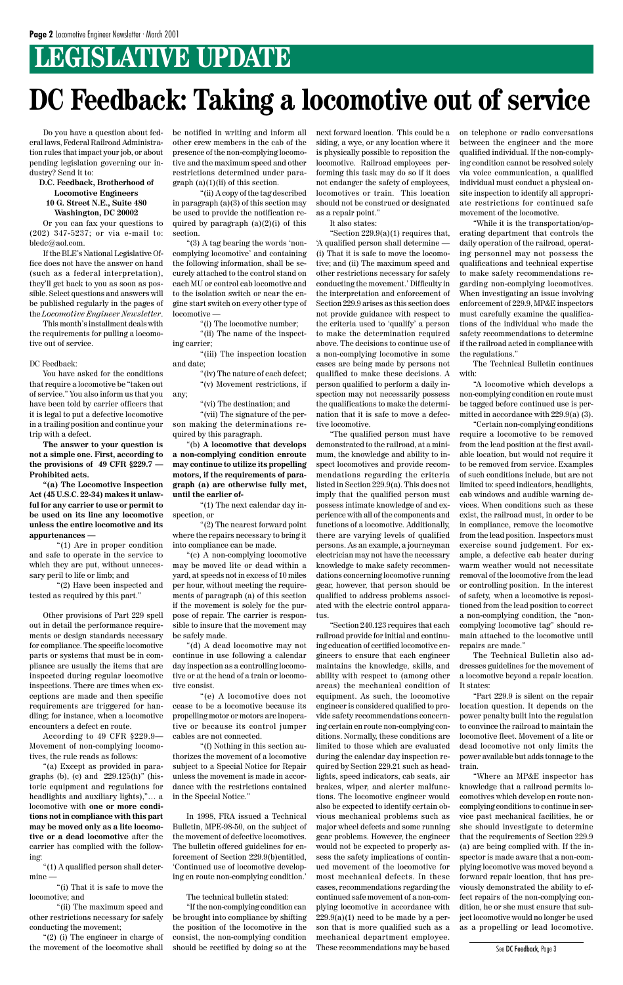# **LEGISLATIVE UPDATE**

Do you have a question about federal laws, Federal Railroad Administration rules that impact your job, or about pending legislation governing our industry? Send it to:

#### **D.C. Feedback, Brotherhood of Locomotive Engineers 10 G. Street N.E., Suite 480 Washington, DC 20002**

Or you can fax your questions to (202) 347-5237; or via e-mail to: bledc@aol.com.

If the BLE's National Legislative Office does not have the answer on hand (such as a federal interpretation), they'll get back to you as soon as possible. Select questions and answers will be published regularly in the pages of the *Locomotive Engineer Newsletter*.

This month's installment deals with the requirements for pulling a locomotive out of service.

DC Feedback:

You have asked for the conditions that require a locomotive be "taken out of service." You also inform us that you have been told by carrier officers that it is legal to put a defective locomotive in a trailing position and continue your trip with a defect.

**The answer to your question is not a simple one. First, according to the provisions of 49 CFR §229.7 — Prohibited acts.**

"(1) A qualified person shall determine

**"(a) The Locomotive Inspection Act (45 U.S.C. 22-34) makes it unlawful for any carrier to use or permit to be used on its line any locomotive unless the entire locomotive and its appurtenances —**

be notified in writing and inform all other crew members in the cab of the presence of the non-complying locomotive and the maximum speed and other restrictions determined under para $graph (a)(1)(ii)$  of this section.

"(1) Are in proper condition and safe to operate in the service to which they are put, without unnecessary peril to life or limb; and

"(2) Have been inspected and tested as required by this part."

Other provisions of Part 229 spell out in detail the performance requirements or design standards necessary for compliance. The specific locomotive parts or systems that must be in compliance are usually the items that are inspected during regular locomotive inspections. There are times when exceptions are made and then specific requirements are triggered for handling; for instance, when a locomotive

encounters a defect en route.

According to 49 CFR §229.9— Movement of non-complying locomotives, the rule reads as follows:

"(a) Except as provided in paragraphs (b), (c) and 229.125(h)" (historic equipment and regulations for headlights and auxiliary lights),"… a locomotive with **one or more conditions not in compliance with this part may be moved only as a lite locomotive or a dead locomotive** after the carrier has complied with the following:

"(i) That it is safe to move the locomotive; and

"(ii) The maximum speed and other restrictions necessary for safely conducting the movement;

"(2) (i) The engineer in charge of the movement of the locomotive shall

"(ii) A copy of the tag described in paragraph (a)(3) of this section may be used to provide the notification required by paragraph  $(a)(2)(i)$  of this section.

"(3) A tag bearing the words 'noncomplying locomotive' and containing the following information, shall be securely attached to the control stand on each MU or control cab locomotive and to the isolation switch or near the engine start switch on every other type of locomotive —

"(i) The locomotive number;

"(ii) The name of the inspecting carrier;

"(iii) The inspection location and date;

> "(iv) The nature of each defect; "(v) Movement restrictions, if

any;

"(vi) The destination; and

"(vii) The signature of the person making the determinations required by this paragraph.

"(b) **A locomotive that develops a non-complying condition enroute may continue to utilize its propelling motors, if the requirements of paragraph (a) are otherwise fully met, until the earlier of-**

"(1) The next calendar day inspection, or

"(2) The nearest forward point where the repairs necessary to bring it into compliance can be made.

"(c) A non-complying locomotive may be moved lite or dead within a yard, at speeds not in excess of 10 miles per hour, without meeting the requirements of paragraph (a) of this section if the movement is solely for the purpose of repair. The carrier is responsible to insure that the movement may be safely made.

"(d) A dead locomotive may not continue in use following a calendar day inspection as a controlling locomotive or at the head of a train or locomotive consist.

"(e) A locomotive does not cease to be a locomotive because its propelling motor or motors are inoperative or because its control jumper cables are not connected.

"(f) Nothing in this section authorizes the movement of a locomotive subject to a Special Notice for Repair unless the movement is made in accordance with the restrictions contained in the Special Notice."

In 1998, FRA issued a Technical Bulletin, MPE-98-50, on the subject of the movement of defective locomotives. The bulletin offered guidelines for enforcement of Section 229.9(b)entitled, 'Continued use of locomotive developing en route non-complying condition.'

#### The technical bulletin stated:

"If the non-complying condition can be brought into compliance by shifting the position of the locomotive in the consist, the non-complying condition should be rectified by doing so at the

next forward location. This could be a siding, a wye, or any location where it is physically possible to reposition the locomotive. Railroad employees performing this task may do so if it does not endanger the safety of employees, locomotives or train. This location should not be construed or designated as a repair point."

It also states:

"Section 229.9(a)(1) requires that, 'A qualified person shall determine — (i) That it is safe to move the locomotive; and (ii) The maximum speed and other restrictions necessary for safely conducting the movement.' Difficulty in the interpretation and enforcement of Section 229.9 arises as this section does not provide guidance with respect to the criteria used to 'qualify' a person to make the determination required above. The decisions to continue use of a non-complying locomotive in some cases are being made by persons not qualified to make these decisions. A person qualified to perform a daily inspection may not necessarily possess the qualifications to make the determination that it is safe to move a defective locomotive.

"The qualified person must have demonstrated to the railroad, at a minimum, the knowledge and ability to inspect locomotives and provide recommendations regarding the criteria listed in Section 229.9(a). This does not imply that the qualified person must possess intimate knowledge of and experience with all of the components and functions of a locomotive. Additionally, there are varying levels of qualified persons. As an example, a journeyman electrician may not have the necessary knowledge to make safety recommendations concerning locomotive running gear, however, that person should be qualified to address problems associated with the electric control apparatus.

"Section 240.123 requires that each railroad provide for initial and continuing education of certified locomotive engineers to ensure that each engineer maintains the knowledge, skills, and ability with respect to (among other areas) the mechanical condition of equipment. As such, the locomotive engineer is considered qualified to provide safety recommendations concerning certain en route non-complying conditions. Normally, these conditions are limited to those which are evaluated during the calendar day inspection required by Section 229.21 such as headlights, speed indicators, cab seats, air brakes, wiper, and alerter malfunctions. The locomotive engineer would also be expected to identify certain obvious mechanical problems such as major wheel defects and some running gear problems. However, the engineer would not be expected to properly assess the safety implications of continued movement of the locomotive for most mechanical defects. In these cases, recommendations regarding the continued safe movement of a non-complying locomotive in accordance with  $229.9(a)(1)$  need to be made by a person that is more qualified such as a mechanical department employee. These recommendations may be based

on telephone or radio conversations between the engineer and the more qualified individual. If the non-complying condition cannot be resolved solely via voice communication, a qualified individual must conduct a physical onsite inspection to identify all appropriate restrictions for continued safe movement of the locomotive.

"While it is the transportation/operating department that controls the daily operation of the railroad, operating personnel may not possess the qualifications and technical expertise to make safety recommendations regarding non-complying locomotives. When investigating an issue involving enforcement of 229.9, MP&E inspectors must carefully examine the qualifications of the individual who made the safety recommendations to determine if the railroad acted in compliance with the regulations."

The Technical Bulletin continues with:

"A locomotive which develops a non-complying condition en route must be tagged before continued use is permitted in accordance with 229.9(a) (3).

"Certain non-complying conditions require a locomotive to be removed from the lead position at the first available location, but would not require it to be removed from service. Examples of such conditions include, but are not limited to: speed indicators, headlights, cab windows and audible warning devices. When conditions such as these exist, the railroad must, in order to be in compliance, remove the locomotive from the lead position. Inspectors must exercise sound judgement. For example, a defective cab heater during warm weather would not necessitate removal of the locomotive from the lead or controlling position. In the interest of safety, when a locomotive is repositioned from the lead position to correct a non-complying condition, the "noncomplying locomotive tag" should remain attached to the locomotive until repairs are made."

The Technical Bulletin also addresses guidelines for the movement of a locomotive beyond a repair location. It states:

"Part 229.9 is silent on the repair location question. It depends on the power penalty built into the regulation to convince the railroad to maintain the locomotive fleet. Movement of a lite or dead locomotive not only limits the power available but adds tonnage to the train.

"Where an MP&E inspector has knowledge that a railroad permits locomotives which develop en route noncomplying conditions to continue in service past mechanical facilities, he or she should investigate to determine that the requirements of Section 229.9 (a) are being complied with. If the inspector is made aware that a non-complying locomotive was moved beyond a forward repair location, that has previously demonstrated the ability to effect repairs of the non-complying condition, he or she must ensure that subject locomotive would no longer be used as a propelling or lead locomotive.

# **DC Feedback: Taking a locomotive out of service**

See DC Feedback, Page 3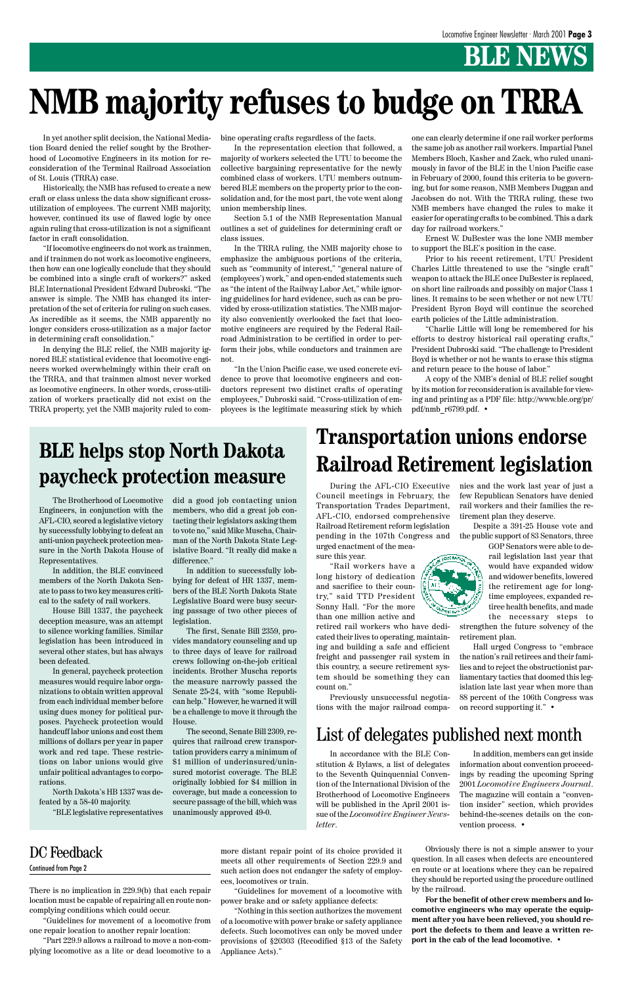# **BLE NEWS**

There is no implication in 229.9(b) that each repair location must be capable of repairing all en route noncomplying conditions which could occur.

"Guidelines for movement of a locomotive from one repair location to another repair location:

"Part 229.9 allows a railroad to move a non-complying locomotive as a lite or dead locomotive to a more distant repair point of its choice provided it meets all other requirements of Section 229.9 and such action does not endanger the safety of employees, locomotives or train.

"Guidelines for movement of a locomotive with power brake and or safety appliance defects:

"Nothing in this section authorizes the movement of a locomotive with power brake or safety appliance defects. Such locomotives can only be moved under provisions of §20303 (Recodified §13 of the Safety Appliance Acts)."

Obviously there is not a simple answer to your question. In all cases when defects are encountered en route or at locations where they can be repaired they should be reported using the procedure outlined by the railroad.

**For the benefit of other crew members and locomotive engineers who may operate the equipment after you have been relieved, you should report the defects to them and leave a written report in the cab of the lead locomotive. •**

In yet another split decision, the National Mediation Board denied the relief sought by the Brotherhood of Locomotive Engineers in its motion for reconsideration of the Terminal Railroad Association of St. Louis (TRRA) case.

Historically, the NMB has refused to create a new craft or class unless the data show significant crossutilization of employees. The current NMB majority, however, continued its use of flawed logic by once again ruling that cross-utilization is not a significant factor in craft consolidation.

"If locomotive engineers do not work as trainmen, and if trainmen do not work as locomotive engineers, then how can one logically conclude that they should be combined into a single craft of workers?" asked BLE International President Edward Dubroski. "The answer is simple. The NMB has changed its interpretation of the set of criteria for ruling on such cases. As incredible as it seems, the NMB apparently no longer considers cross-utilization as a major factor in determining craft consolidation."

In denying the BLE relief, the NMB majority ignored BLE statistical evidence that locomotive engineers worked overwhelmingly within their craft on the TRRA, and that trainmen almost never worked as locomotive engineers. In other words, cross-utilization of workers practically did not exist on the TRRA property, yet the NMB majority ruled to combine operating crafts regardless of the facts.

In the representation election that followed, a majority of workers selected the UTU to become the collective bargaining representative for the newly combined class of workers. UTU members outnumbered BLE members on the property prior to the consolidation and, for the most part, the vote went along union membership lines.

Section 5.1 of the NMB Representation Manual outlines a set of guidelines for determining craft or class issues.

In the TRRA ruling, the NMB majority chose to emphasize the ambiguous portions of the criteria, such as "community of interest," "general nature of (employees') work," and open-ended statements such as "the intent of the Railway Labor Act," while ignoring guidelines for hard evidence, such as can be provided by cross-utilization statistics. The NMB majority also conveniently overlooked the fact that locomotive engineers are required by the Federal Railroad Administration to be certified in order to perform their jobs, while conductors and trainmen are not.

"In the Union Pacific case, we used concrete evidence to prove that locomotive engineers and conductors represent two distinct crafts of operating employees," Dubroski said. "Cross-utilization of employees is the legitimate measuring stick by which

one can clearly determine if one rail worker performs the same job as another rail workers. Impartial Panel Members Bloch, Kasher and Zack, who ruled unanimously in favor of the BLE in the Union Pacific case in February of 2000, found this criteria to be governing, but for some reason, NMB Members Duggan and Jacobsen do not. With the TRRA ruling, these two NMB members have changed the rules to make it easier for operating crafts to be combined. This a dark day for railroad workers."

Ernest W. DuBester was the lone NMB member to support the BLE's position in the case.

Prior to his recent retirement, UTU President Charles Little threatened to use the "single craft" weapon to attack the BLE once DuBester is replaced, on short line railroads and possibly on major Class 1 lines. It remains to be seen whether or not new UTU President Byron Boyd will continue the scorched earth policies of the Little administration.

"Charlie Little will long be remembered for his efforts to destroy historical rail operating crafts," President Dubroski said. "The challenge to President Boyd is whether or not he wants to erase this stigma and return peace to the house of labor."

A copy of the NMB's denial of BLE relief sought by its motion for reconsideration is available for viewing and printing as a PDF file: http://www.ble.org/pr/ pdf/nmb\_r6799.pdf. •

# **NMB majority refuses to budge on TRRA**

The Brotherhood of Locomotive Engineers, in conjunction with the AFL-CIO, scored a legislative victory by successfully lobbying to defeat an anti-union paycheck protection measure in the North Dakota House of Representatives.

In addition, the BLE convinced members of the North Dakota Senate to pass to two key measures critical to the safety of rail workers.

House Bill 1337, the paycheck deception measure, was an attempt to silence working families. Similar legislation has been introduced in several other states, but has always been defeated.

In general, paycheck protection measures would require labor organizations to obtain written approval from each individual member before using dues money for political purposes. Paycheck protection would handcuff labor unions and cost them millions of dollars per year in paper work and red tape. These restrictions on labor unions would give unfair political advantages to corporations.

North Dakota's HB 1337 was defeated by a 58-40 majority. "BLE legislative representatives

did a good job contacting union members, who did a great job contacting their legislators asking them to vote no," said Mike Muscha, Chairman of the North Dakota State Legislative Board. "It really did make a difference."

In addition to successfully lobbying for defeat of HR 1337, members of the BLE North Dakota State Legislative Board were busy securing passage of two other pieces of legislation.

The first, Senate Bill 2359, provides mandatory counseling and up to three days of leave for railroad crews following on-the-job critical incidents. Brother Muscha reports the measure narrowly passed the Senate 25-24, with "some Republican help." However, he warned it will be a challenge to move it through the House.

The second, Senate Bill 2309, requires that railroad crew transportation providers carry a minimum of \$1 million of underinsured/uninsured motorist coverage. The BLE originally lobbied for \$4 million in coverage, but made a concession to secure passage of the bill, which was unanimously approved 49-0.

Continued from Page 2

### **BLE helps stop North Dakota paycheck protection measure**

## **Transportation unions endorse Railroad Retirement legislation**

During the AFL-CIO Executive Council meetings in February, the Transportation Trades Department, AFL-CIO, endorsed comprehensive Railroad Retirement reform legislation pending in the 107th Congress and urged enactment of the mea-

sure this year. "Rail workers have a long history of dedication

and sacrifice to their country," said TTD President Sonny Hall. "For the more than one million active and

retired rail workers who have dedicated their lives to operating, maintaining and building a safe and efficient freight and passenger rail system in this country, a secure retirement system should be something they can count on."

Previously unsuccessful negotiations with the major railroad companies and the work last year of just a few Republican Senators have denied rail workers and their families the retirement plan they deserve.

Despite a 391-25 House vote and the public support of 83 Senators, three

> GOP Senators were able to derail legislation last year that would have expanded widow and widower benefits, lowered the retirement age for longtime employees, expanded retiree health benefits, and made the necessary steps to

strengthen the future solvency of the retirement plan.

Hall urged Congress to "embrace the nation's rail retirees and their families and to reject the obstructionist parliamentary tactics that doomed this legislation late last year when more than 88 percent of the 106th Congress was on record supporting it." •



#### List of delegates published next month

In accordance with the BLE Constitution & Bylaws, a list of delegates to the Seventh Quinquennial Convention of the International Division of the Brotherhood of Locomotive Engineers will be published in the April 2001 issue of the *Locomotive Engineer Newsletter*.

In addition, members can get inside information about convention proceedings by reading the upcoming Spring 2001 *Locomotive Engineers Journal*. The magazine will contain a "convention insider" section, which provides behind-the-scenes details on the convention process. •

#### DC Feedback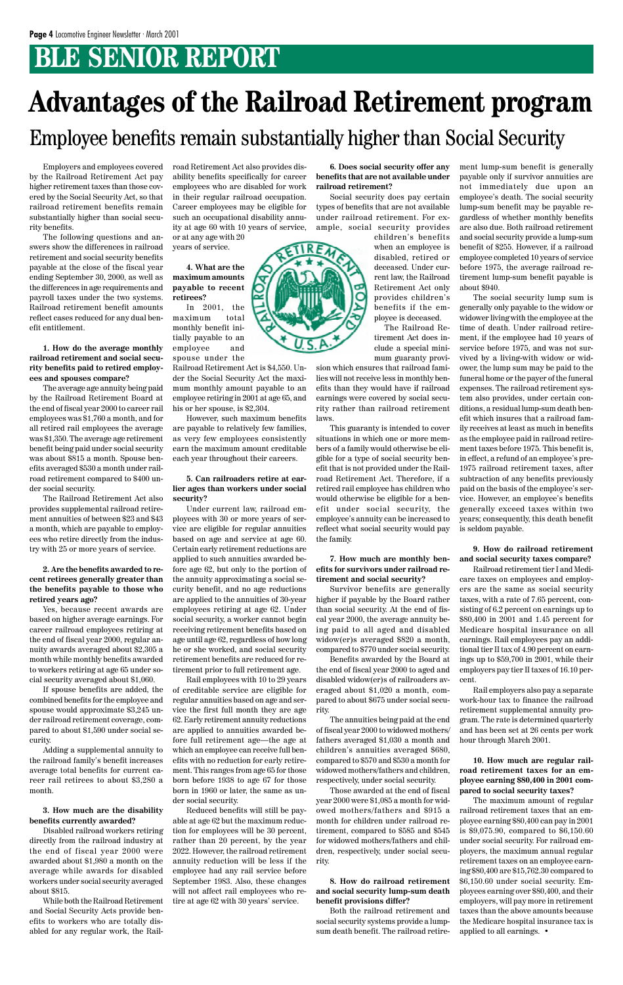# **BLE SENIOR REPORT**

Employers and employees covered by the Railroad Retirement Act pay higher retirement taxes than those covered by the Social Security Act, so that railroad retirement benefits remain substantially higher than social security benefits.

The following questions and answers show the differences in railroad retirement and social security benefits payable at the close of the fiscal year ending September 30, 2000, as well as the differences in age requirements and payroll taxes under the two systems. Railroad retirement benefit amounts reflect cases reduced for any dual benefit entitlement.

**1. How do the average monthly railroad retirement and social security benefits paid to retired employees and spouses compare?**

The average age annuity being paid by the Railroad Retirement Board at the end of fiscal year 2000 to career rail employees was \$1,760 a month, and for all retired rail employees the average was \$1,350. The average age retirement benefit being paid under social security was about \$815 a month. Spouse benefits averaged \$530 a month under railroad retirement compared to \$400 under social security.

The Railroad Retirement Act also provides supplemental railroad retirement annuities of between \$23 and \$43 a month, which are payable to employees who retire directly from the industry with 25 or more years of service.

#### **2. Are the benefits awarded to recent retirees generally greater than the benefits payable to those who retired years ago?**

Yes, because recent awards are based on higher average earnings. For career railroad employees retiring at the end of fiscal year 2000, regular annuity awards averaged about \$2,305 a month while monthly benefits awarded to workers retiring at age 65 under social security averaged about \$1,060.

If spouse benefits are added, the combined benefits for the employee and spouse would approximate \$3,245 under railroad retirement coverage, com-

pared to about \$1,590 under social security.

Adding a supplemental annuity to the railroad family's benefit increases average total benefits for current career rail retirees to about \$3,280 a month.

#### **3. How much are the disability benefits currently awarded?**

Disabled railroad workers retiring directly from the railroad industry at the end of fiscal year 2000 were awarded about \$1,980 a month on the average while awards for disabled workers under social security averaged about \$815.

While both the Railroad Retirement and Social Security Acts provide benefits to workers who are totally disabled for any regular work, the Railroad Retirement Act also provides disability benefits specifically for career employees who are disabled for work in their regular railroad occupation. Career employees may be eligible for such an occupational disability annuity at age 60 with 10 years of service, or at any age with 20

years of service.

**4. What are the maximum amounts payable to recent retirees?**

In 2001, the maximum total monthly benefit initially payable to an employee and spouse under the

Railroad Retirement Act is \$4,550. Under the Social Security Act the maximum monthly amount payable to an employee retiring in 2001 at age 65, and his or her spouse, is \$2,304.

However, such maximum benefits are payable to relatively few families, as very few employees consistently earn the maximum amount creditable each year throughout their careers.

#### **5. Can railroaders retire at earlier ages than workers under social security?**

Under current law, railroad employees with 30 or more years of service are eligible for regular annuities based on age and service at age 60. Certain early retirement reductions are applied to such annuities awarded before age 62, but only to the portion of the annuity approximating a social security benefit, and no age reductions are applied to the annuities of 30-year employees retiring at age 62. Under social security, a worker cannot begin receiving retirement benefits based on age until age 62, regardless of how long he or she worked, and social security retirement benefits are reduced for retirement prior to full retirement age.

Rail employees with 10 to 29 years of creditable service are eligible for regular annuities based on age and service the first full month they are age 62. Early retirement annuity reductions are applied to annuities awarded before full retirement age—the age at which an employee can receive full benefits with no reduction for early retirement. This ranges from age 65 for those born before 1938 to age 67 for those born in 1960 or later, the same as under social security. Reduced benefits will still be payable at age 62 but the maximum reduction for employees will be 30 percent, rather than 20 percent, by the year 2022. However, the railroad retirement annuity reduction will be less if the employee had any rail service before September 1983. Also, these changes will not affect rail employees who retire at age 62 with 30 years' service.

**6. Does social security offer any benefits that are not available under railroad retirement?**

Social security does pay certain types of benefits that are not available under railroad retirement. For example, social security provides

children's benefits when an employee is disabled, retired or deceased. Under current law, the Railroad Retirement Act only provides children's benefits if the employee is deceased.

The Railroad Retirement Act does include a special minimum guaranty provi-

sion which ensures that railroad families will not receive less in monthly benefits than they would have if railroad earnings were covered by social security rather than railroad retirement laws.

This guaranty is intended to cover situations in which one or more members of a family would otherwise be eligible for a type of social security benefit that is not provided under the Railroad Retirement Act. Therefore, if a retired rail employee has children who would otherwise be eligible for a benefit under social security, the employee's annuity can be increased to reflect what social security would pay the family.

#### **7. How much are monthly benefits for survivors under railroad retirement and social security?**

Survivor benefits are generally higher if payable by the Board rather than social security. At the end of fiscal year 2000, the average annuity being paid to all aged and disabled widow(er)s averaged \$820 a month, compared to \$770 under social security.

Benefits awarded by the Board at the end of fiscal year 2000 to aged and disabled widow(er)s of railroaders averaged about \$1,020 a month, compared to about \$675 under social security.

The annuities being paid at the end of fiscal year 2000 to widowed mothers/ fathers averaged \$1,030 a month and children's annuities averaged \$680, compared to \$570 and \$530 a month for widowed mothers/fathers and children, respectively, under social security. Those awarded at the end of fiscal year 2000 were \$1,085 a month for widowed mothers/fathers and \$915 a month for children under railroad retirement, compared to \$585 and \$545 for widowed mothers/fathers and children, respectively, under social security.

**8. How do railroad retirement and social security lump-sum death benefit provisions differ?**

Both the railroad retirement and social security systems provide a lumpsum death benefit. The railroad retirement lump-sum benefit is generally payable only if survivor annuities are not immediately due upon an employee's death. The social security lump-sum benefit may be payable regardless of whether monthly benefits are also due. Both railroad retirement and social security provide a lump-sum benefit of \$255. However, if a railroad employee completed 10 years of service before 1975, the average railroad retirement lump-sum benefit payable is about \$940.

The social security lump sum is generally only payable to the widow or widower living with the employee at the time of death. Under railroad retirement, if the employee had 10 years of service before 1975, and was not survived by a living-with widow or widower, the lump sum may be paid to the funeral home or the payer of the funeral expenses. The railroad retirement system also provides, under certain conditions, a residual lump-sum death benefit which insures that a railroad family receives at least as much in benefits as the employee paid in railroad retirement taxes before 1975. This benefit is, in effect, a refund of an employee's pre-1975 railroad retirement taxes, after subtraction of any benefits previously paid on the basis of the employee's service. However, an employee's benefits generally exceed taxes within two years; consequently, this death benefit is seldom payable.

#### **9. How do railroad retirement and social security taxes compare?**

Railroad retirement tier I and Medicare taxes on employees and employers are the same as social security taxes, with a rate of 7.65 percent, consisting of 6.2 percent on earnings up to \$80,400 in 2001 and 1.45 percent for Medicare hospital insurance on all earnings. Rail employees pay an additional tier II tax of 4.90 percent on earnings up to \$59,700 in 2001, while their employers pay tier II taxes of 16.10 percent.

Rail employers also pay a separate work-hour tax to finance the railroad retirement supplemental annuity program. The rate is determined quarterly and has been set at 26 cents per work hour through March 2001.



**10. How much are regular railroad retirement taxes for an employee earning \$80,400 in 2001 compared to social security taxes?**

The maximum amount of regular railroad retirement taxes that an employee earning \$80,400 can pay in 2001 is \$9,075.90, compared to \$6,150.60 under social security. For railroad employers, the maximum annual regular retirement taxes on an employee earning \$80,400 are \$15,762.30 compared to \$6,150.60 under social security. Employees earning over \$80,400, and their employers, will pay more in retirement taxes than the above amounts because the Medicare hospital insurance tax is applied to all earnings. •

# **Advantages of the Railroad Retirement program** Employee benefits remain substantially higher than Social Security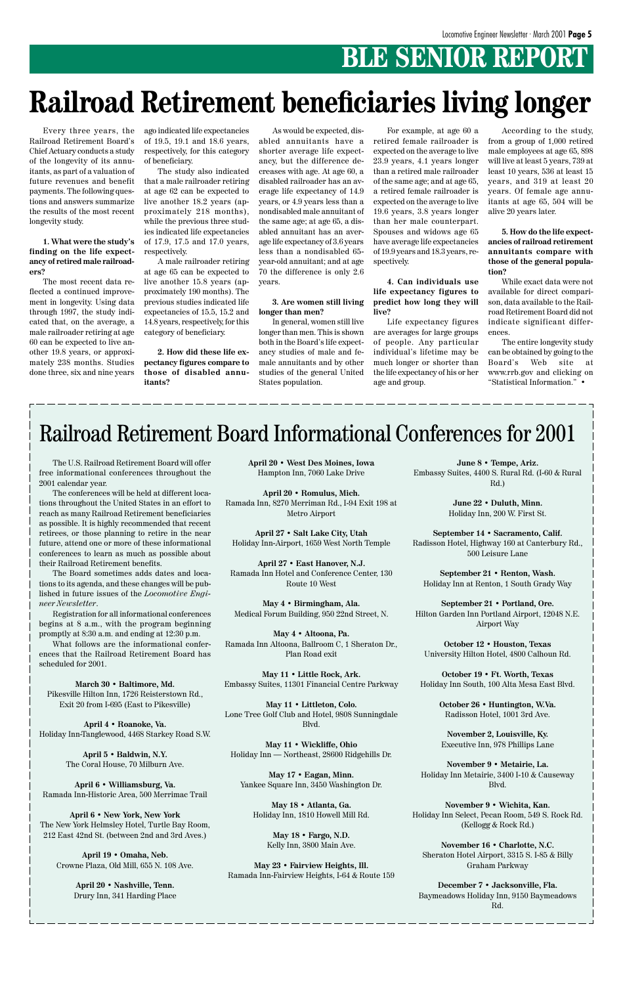# **BLE SENIOR REPORT**

Every three years, the Railroad Retirement Board's Chief Actuary conducts a study of the longevity of its annuitants, as part of a valuation of future revenues and benefit payments. The following questions and answers summarize the results of the most recent longevity study.

**1. What were the study's finding on the life expectancy of retired male railroaders?**

The most recent data reflected a continued improvement in longevity. Using data through 1997, the study indicated that, on the average, a male railroader retiring at age 60 can be expected to live another 19.8 years, or approximately 238 months. Studies done three, six and nine years

ago indicated life expectancies of 19.5, 19.1 and 18.6 years, respectively, for this category of beneficiary.

The study also indicated that a male railroader retiring at age 62 can be expected to live another 18.2 years (approximately 218 months), while the previous three studies indicated life expectancies of 17.9, 17.5 and 17.0 years, respectively.

A male railroader retiring at age 65 can be expected to live another 15.8 years (approximately 190 months). The previous studies indicated life expectancies of 15.5, 15.2 and 14.8 years, respectively, for this category of beneficiary.

**2. How did these life expectancy figures compare to those of disabled annuitants?**

# **Railroad Retirement beneficiaries living longer**

As would be expected, disabled annuitants have a shorter average life expectancy, but the difference decreases with age. At age 60, a disabled railroader has an average life expectancy of 14.9 years, or 4.9 years less than a nondisabled male annuitant of the same age; at age 65, a disabled annuitant has an average life expectancy of 3.6 years less than a nondisabled 65 year-old annuitant; and at age 70 the difference is only 2.6 years.

#### **3. Are women still living longer than men?**

In general, women still live longer than men. This is shown both in the Board's life expectancy studies of male and female annuitants and by other studies of the general United States population.

For example, at age 60 a retired female railroader is expected on the average to live 23.9 years, 4.1 years longer than a retired male railroader of the same age; and at age 65, a retired female railroader is expected on the average to live 19.6 years, 3.8 years longer than her male counterpart. Spouses and widows age 65 have average life expectancies of 19.9 years and 18.3 years, respectively.

#### **4. Can individuals use life expectancy figures to predict how long they will live?**

Life expectancy figures are averages for large groups of people. Any particular individual's lifetime may be much longer or shorter than the life expectancy of his or her age and group.

According to the study, from a group of 1,000 retired male employees at age 65, 898 will live at least 5 years, 739 at least 10 years, 536 at least 15 years, and 319 at least 20 years. Of female age annuitants at age 65, 504 will be alive 20 years later.

**5. How do the life expectancies of railroad retirement annuitants compare with those of the general population?**

While exact data were not available for direct comparison, data available to the Railroad Retirement Board did not indicate significant differences.

The entire longevity study can be obtained by going to the Board's Web site at www.rrb.gov and clicking on "Statistical Information." •

The U.S. Railroad Retirement Board will offer free informational conferences throughout the 2001 calendar year.

The conferences will be held at different locations throughout the United States in an effort to reach as many Railroad Retirement beneficiaries as possible. It is highly recommended that recent retirees, or those planning to retire in the near future, attend one or more of these informational conferences to learn as much as possible about their Railroad Retirement benefits.

The Board sometimes adds dates and locations to its agenda, and these changes will be published in future issues of the *Locomotive Engineer Newsletter*.

Registration for all informational conferences begins at 8 a.m., with the program beginning promptly at 8:30 a.m. and ending at 12:30 p.m.

What follows are the informational conferences that the Railroad Retirement Board has scheduled for 2001.

**March 30 • Baltimore, Md.** Pikesville Hilton Inn, 1726 Reisterstown Rd., Exit 20 from I-695 (East to Pikesville)

**April 4 • Roanoke, Va.** Holiday Inn-Tanglewood, 4468 Starkey Road S.W.

> **April 5 • Baldwin, N.Y.** The Coral House, 70 Milburn Ave.

**April 6 • Williamsburg, Va.** Ramada Inn-Historic Area, 500 Merrimac Trail

**April 6 • New York, New York** The New York Helmsley Hotel, Turtle Bay Room, 212 East 42nd St. (between 2nd and 3rd Aves.)

**April 19 • Omaha, Neb.** Crowne Plaza, Old Mill, 655 N. 108 Ave.

> **April 20 • Nashville, Tenn.** Drury Inn, 341 Harding Place

**April 20 • West Des Moines, Iowa** Hampton Inn, 7060 Lake Drive

**April 20 • Romulus, Mich.** Ramada Inn, 8270 Merriman Rd., I-94 Exit 198 at Metro Airport

**April 27 • Salt Lake City, Utah** Holiday Inn-Airport, 1659 West North Temple

**April 27 • East Hanover, N.J.** Ramada Inn Hotel and Conference Center, 130 Route 10 West

**May 4 • Birmingham, Ala.** Medical Forum Building, 950 22nd Street, N.

**May 4 • Altoona, Pa.** Ramada Inn Altoona, Ballroom C, 1 Sheraton Dr., Plan Road exit

**May 11 • Little Rock, Ark.** Embassy Suites, 11301 Financial Centre Parkway

**May 11 • Littleton, Colo.** Lone Tree Golf Club and Hotel, 9808 Sunningdale

Blvd.

**May 11 • Wickliffe, Ohio** Holiday Inn — Northeast, 28600 Ridgehills Dr.

**May 17 • Eagan, Minn.** Yankee Square Inn, 3450 Washington Dr.

**May 18 • Atlanta, Ga.** Holiday Inn, 1810 Howell Mill Rd.

> **May 18 • Fargo, N.D.** Kelly Inn, 3800 Main Ave.

**May 23 • Fairview Heights, Ill.** Ramada Inn-Fairview Heights, I-64 & Route 159

**June 8 • Tempe, Ariz.** Embassy Suites, 4400 S. Rural Rd. (I-60 & Rural Rd.)

> **June 22 • Duluth, Minn.** Holiday Inn, 200 W. First St.

**September 14 • Sacramento, Calif.** Radisson Hotel, Highway 160 at Canterbury Rd., 500 Leisure Lane

**September 21 • Renton, Wash.** Holiday Inn at Renton, 1 South Grady Way

**September 21 • Portland, Ore.** Hilton Garden Inn Portland Airport, 12048 N.E. Airport Way

**October 12 • Houston, Texas** University Hilton Hotel, 4800 Calhoun Rd.

**October 19 • Ft. Worth, Texas** Holiday Inn South, 100 Alta Mesa East Blvd.

> **October 26 • Huntington, W.Va.** Radisson Hotel, 1001 3rd Ave.

**November 2, Louisville, Ky.** Executive Inn, 978 Phillips Lane

**November 9 • Metairie, La.** Holiday Inn Metairie, 3400 I-10 & Causeway Blvd.

**November 9 • Wichita, Kan.** Holiday Inn Select, Pecan Room, 549 S. Rock Rd. (Kellogg & Rock Rd.)

**November 16 • Charlotte, N.C.** Sheraton Hotel Airport, 3315 S. I-85 & Billy Graham Parkway

**December 7 • Jacksonville, Fla.** Baymeadows Holiday Inn, 9150 Baymeadows Rd.

# Railroad Retirement Board Informational Conferences for 2001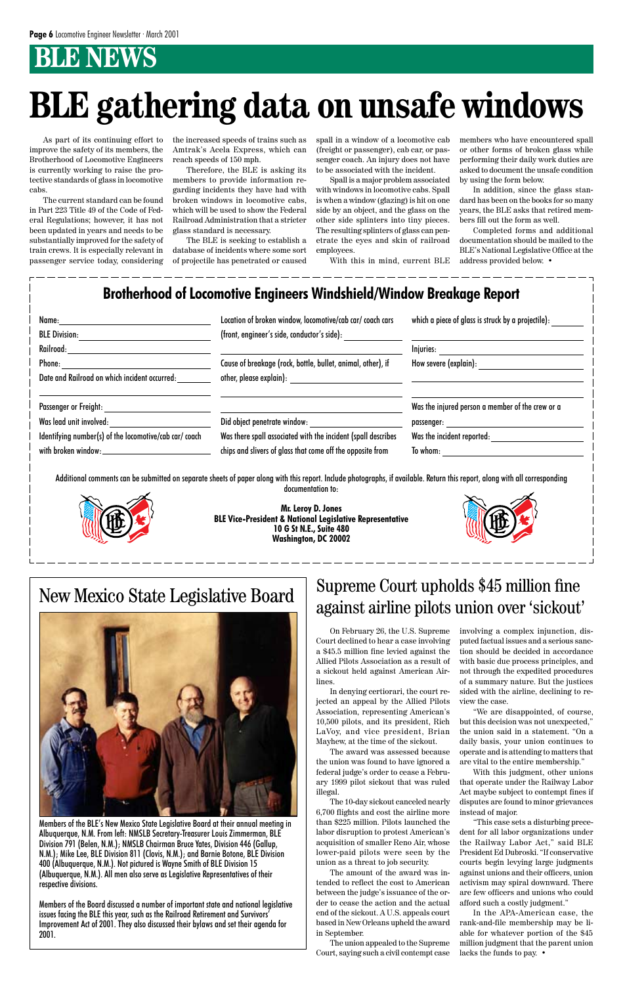# *B* NEWS

As part of its continuing effort to improve the safety of its members, the Brotherhood of Locomotive Engineers is currently working to raise the protective standards of glass in locomotive cabs.

The current standard can be found in Part 223 Title 49 of the Code of Federal Regulations; however, it has not been updated in years and needs to be substantially improved for the safety of train crews. It is especially relevant in passenger service today, considering the increased speeds of trains such as Amtrak's Acela Express, which can reach speeds of 150 mph.

Therefore, the BLE is asking its members to provide information regarding incidents they have had with broken windows in locomotive cabs, which will be used to show the Federal Railroad Administration that a stricter glass standard is necessary.

The BLE is seeking to establish a database of incidents where some sort of projectile has penetrated or caused spall in a window of a locomotive cab (freight or passenger), cab car, or passenger coach. An injury does not have to be associated with the incident.

Spall is a major problem associated with windows in locomotive cabs. Spall is when a window (glazing) is hit on one side by an object, and the glass on the other side splinters into tiny pieces. The resulting splinters of glass can penetrate the eyes and skin of railroad employees.

With this in mind, current BLE

members who have encountered spall or other forms of broken glass while performing their daily work duties are asked to document the unsafe condition

by using the form below.

In addition, since the glass standard has been on the books for so many years, the BLE asks that retired members fill out the form as well.

Completed forms and additional documentation should be mailed to the BLE's National Legislative Office at the address provided below. •

# **BLE gathering data on unsafe windows**

### New Mexico State Legislative Board



Members of the BLE's New Mexico State Legislative Board at their annual meeting in Albuquerque, N.M. From left: NMSLB Secretary-Treasurer Louis Zimmerman, BLE Division 791 (Belen, N.M.); NMSLB Chairman Bruce Yates, Division 446 (Gallup, N.M.); Mike Lee, BLE Division 811 (Clovis, N.M.); and Barnie Botone, BLE Division 400 (Albuquerque, N.M.). Not pictured is Wayne Smith of BLE Division 15 (Albuquerque, N.M.). All men also serve as Legislative Representatives of their respective divisions.

Members of the Board discussed a number of important state and national legislative issues facing the BLE this year, such as the Railroad Retirement and Survivors' Improvement Act of 2001. They also discussed their bylaws and set their agenda for 2001.

On February 26, the U.S. Supreme Court declined to hear a case involving a \$45.5 million fine levied against the Allied Pilots Association as a result of a sickout held against American Airlines.

In denying certiorari, the court rejected an appeal by the Allied Pilots Association, representing American's 10,500 pilots, and its president, Rich LaVoy, and vice president, Brian Mayhew, at the time of the sickout.

The award was assessed because the union was found to have ignored a federal judge's order to cease a February 1999 pilot sickout that was ruled illegal.

The 10-day sickout canceled nearly 6,700 flights and cost the airline more than \$225 million. Pilots launched the labor disruption to protest American's acquisition of smaller Reno Air, whose lower-paid pilots were seen by the union as a threat to job security.

The amount of the award was intended to reflect the cost to American between the judge's issuance of the order to cease the action and the actual end of the sickout. A U.S. appeals court based in New Orleans upheld the award in September.

The union appealed to the Supreme Court, saying such a civil contempt case

involving a complex injunction, disputed factual issues and a serious sanction should be decided in accordance with basic due process principles, and not through the expedited procedures of a summary nature. But the justices sided with the airline, declining to review the case.

"We are disappointed, of course, but this decision was not unexpected," the union said in a statement. "On a daily basis, your union continues to operate and is attending to matters that are vital to the entire membership."

With this judgment, other unions that operate under the Railway Labor Act maybe subject to contempt fines if disputes are found to minor grievances instead of major.

"This case sets a disturbing precedent for all labor organizations under the Railway Labor Act," said BLE President Ed Dubroski. "If conservative courts begin levying large judgments against unions and their officers, union activism may spiral downward. There are few officers and unions who could afford such a costly judgment."

In the APA-American case, the rank-and-file membership may be liable for whatever portion of the \$45 million judgment that the parent union lacks the funds to pay. •

### Supreme Court upholds \$45 million fine against airline pilots union over 'sickout'

Additional comments can be submitted on separate sheets of paper along with this report. Include photographs, if available. Return this report, along with all corresponding documentation to:



**Mr. Leroy D. Jones BLE Vice-President & National Legislative Representative 10 G St N.E., Suite 480 Washington, DC 20002**



| Name:<br><b>BLE Division:</b>                                                                                                                                                                                                                                                   | Location of broken window, locomotive/cab car/ coach cars<br>(front, engineer's side, conductor's side): | which a piece of glass is struck by a projectile): |
|---------------------------------------------------------------------------------------------------------------------------------------------------------------------------------------------------------------------------------------------------------------------------------|----------------------------------------------------------------------------------------------------------|----------------------------------------------------|
| Railroad:                                                                                                                                                                                                                                                                       |                                                                                                          | Injuries: ____________                             |
| Phone: The contract of the contract of the contract of the contract of the contract of the contract of the contract of the contract of the contract of the contract of the contract of the contract of the contract of the con<br>Date and Railroad on which incident occurred: | Cause of breakage (rock, bottle, bullet, animal, other), if<br>other, please explain):                   | How severe (explain):                              |
| Passenger or Freight:                                                                                                                                                                                                                                                           |                                                                                                          | Was the injured person a member of the crew or a   |
| Was lead unit involved:                                                                                                                                                                                                                                                         | Did object penetrate window:                                                                             | passenger:                                         |
| Identifying number(s) of the locomotive/cab car/ coach                                                                                                                                                                                                                          | Was there spall associated with the incident (spall describes                                            | Was the incident reported:                         |
| with broken window:                                                                                                                                                                                                                                                             | chips and slivers of glass that come off the opposite from                                               | To whom:                                           |

#### **Brotherhood of Locomotive Engineers Windshield/Window Breakage Report**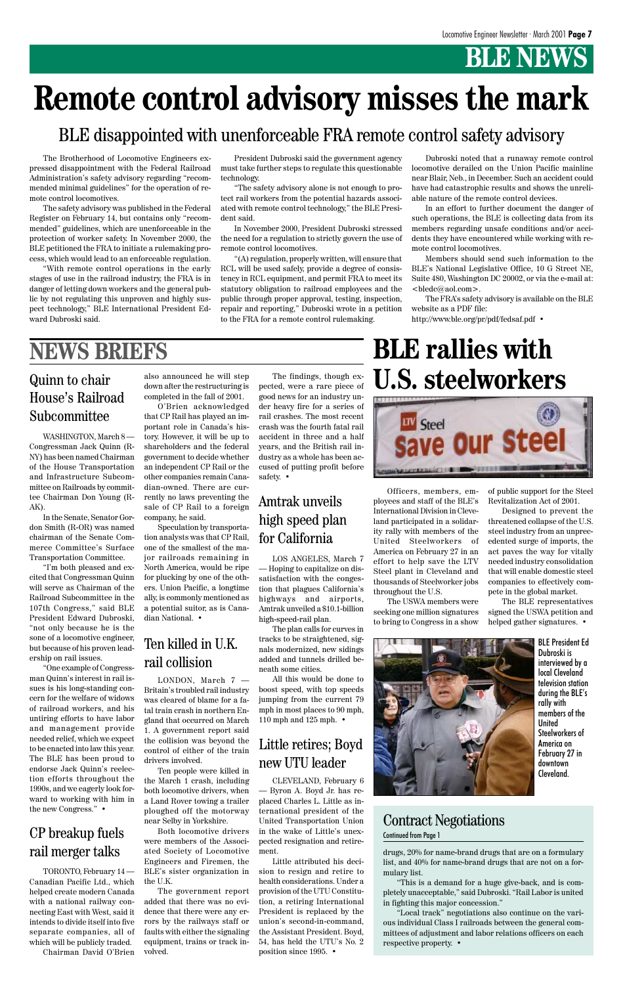# **BLE NEWS**

The Brotherhood of Locomotive Engineers expressed disappointment with the Federal Railroad Administration's safety advisory regarding "recommended minimal guidelines" for the operation of remote control locomotives.

The safety advisory was published in the Federal Register on February 14, but contains only "recommended" guidelines, which are unenforceable in the protection of worker safety. In November 2000, the BLE petitioned the FRA to initiate a rulemaking process, which would lead to an enforceable regulation.

"With remote control operations in the early stages of use in the railroad industry, the FRA is in danger of letting down workers and the general public by not regulating this unproven and highly suspect technology," BLE International President Edward Dubroski said.

### BLE disappointed with unenforceable FRA remote control safety advisory

President Dubroski said the government agency must take further steps to regulate this questionable technology.

"The safety advisory alone is not enough to protect rail workers from the potential hazards associated with remote control technology," the BLE President said.

In November 2000, President Dubroski stressed the need for a regulation to strictly govern the use of remote control locomotives.

"(A) regulation, properly written, will ensure that RCL will be used safely, provide a degree of consistency in RCL equipment, and permit FRA to meet its statutory obligation to railroad employees and the public through proper approval, testing, inspection, repair and reporting," Dubroski wrote in a petition to the FRA for a remote control rulemaking.

Dubroski noted that a runaway remote control locomotive derailed on the Union Pacific mainline near Blair, Neb., in December. Such an accident could have had catastrophic results and shows the unreliable nature of the remote control devices.

In an effort to further document the danger of such operations, the BLE is collecting data from its members regarding unsafe conditions and/or accidents they have encountered while working with remote control locomotives.

Members should send such information to the BLE's National Legislative Office, 10 G Street NE, Suite 480, Washington DC 20002, or via the e-mail at: <bledc@aol.com>.

The FRA's safety advisory is available on the BLE website as a PDF file:

http://www.ble.org/pr/pdf/fedsaf.pdf •

# **Remote control advisory misses the mark**

WASHINGTON, March 8 — Congressman Jack Quinn (R-NY) has been named Chairman of the House Transportation and Infrastructure Subcommittee on Railroads by committee Chairman Don Young (R-AK).

In the Senate, Senator Gordon Smith (R-OR) was named chairman of the Senate Commerce Committee's Surface Transportation Committee.

"I'm both pleased and excited that Congressman Quinn will serve as Chairman of the Railroad Subcommittee in the 107th Congress," said BLE President Edward Dubroski, "not only because he is the sone of a locomotive engineer, but because of his proven leadership on rail issues.

"One example of Congressman Quinn's interest in rail issues is his long-standing concern for the welfare of widows of railroad workers, and his untiring efforts to have labor and management provide needed relief, which we expect to be enacted into law this year. The BLE has been proud to endorse Jack Quinn's reelection efforts throughout the 1990s, and we eagerly look forward to working with him in the new Congress." •

#### Quinn to chair House's Railroad Subcommittee

LOS ANGELES, March 7 — Hoping to capitalize on dissatisfaction with the congestion that plagues California's highways and airports, Amtrak unveiled a \$10.1-billion high-speed-rail plan.

The plan calls for curves in tracks to be straightened, signals modernized, new sidings added and tunnels drilled beneath some cities.

All this would be done to boost speed, with top speeds jumping from the current 79 mph in most places to 90 mph, 110 mph and 125 mph. •

TORONTO, February 14 — Canadian Pacific Ltd., which helped create modern Canada with a national railway connecting East with West, said it intends to divide itself into five separate companies, all of which will be publicly traded.

Chairman David O'Brien

#### CP breakup fuels rail merger talks

LONDON, March 7 — Britain's troubled rail industry was cleared of blame for a fatal train crash in northern England that occurred on March

1. A government report said the collision was beyond the control of either of the train drivers involved.

Ten people were killed in the March 1 crash, including both locomotive drivers, when a Land Rover towing a trailer ploughed off the motorway near Selby in Yorkshire.

Both locomotive drivers were members of the Associated Society of Locomotive Engineers and Firemen, the BLE's sister organization in the U.K.

The government report added that there was no evidence that there were any errors by the railways staff or faults with either the signaling equipment, trains or track involved.

#### Ten killed in U.K. rail collision

#### Amtrak unveils high speed plan for California

also announced he will step down after the restructuring is completed in the fall of 2001.

O'Brien acknowledged that CP Rail has played an important role in Canada's history. However, it will be up to shareholders and the federal government to decide whether an independent CP Rail or the other companies remain Canadian-owned. There are currently no laws preventing the sale of CP Rail to a foreign company, he said.

Speculation by transportation analysts was that CP Rail, one of the smallest of the major railroads remaining in North America, would be ripe for plucking by one of the others. Union Pacific, a longtime ally, is commonly mentioned as a potential suitor, as is Canadian National. •

The findings, though expected, were a rare piece of good news for an industry under heavy fire for a series of rail crashes. The most recent crash was the fourth fatal rail accident in three and a half years, and the British rail industry as a whole has been accused of putting profit before safety. •

### **NEWS BRIEFS**

drugs, 20% for name-brand drugs that are on a formulary list, and 40% for name-brand drugs that are not on a formulary list.

"This is a demand for a huge give-back, and is completely unacceptable," said Dubroski. "Rail Labor is united in fighting this major concession."

"Local track" negotiations also continue on the various individual Class I railroads between the general committees of adjustment and labor relations officers on each respective property. •

#### Contract Negotiations

#### Continued from Page 1

# **BLE rallies with U.S. steelworkers**



BLE President Ed Dubroski is interviewed by a local Cleveland television station during the BLE's rally with members of the United

Steelworkers of America on February 27 in downtown Cleveland.

Officers, members, employees and staff of the BLE's International Division in Cleveland participated in a solidarity rally with members of the United Steelworkers of America on February 27 in an effort to help save the LTV Steel plant in Cleveland and thousands of Steelworker jobs throughout the U.S.

The USWA members were seeking one million signatures to bring to Congress in a show



### Little retires; Boyd new UTU leader

CLEVELAND, February 6 — Byron A. Boyd Jr. has replaced Charles L. Little as international president of the United Transportation Union in the wake of Little's unexpected resignation and retirement.

Little attributed his decision to resign and retire to health considerations. Under a provision of the UTU Constitution, a retiring International President is replaced by the union's second-in-command, the Assistant President. Boyd, 54, has held the UTU's No. 2 position since 1995. •

of public support for the Steel Revitalization Act of 2001.

Designed to prevent the threatened collapse of the U.S. steel industry from an unprecedented surge of imports, the act paves the way for vitally needed industry consolidation that will enable domestic steel companies to effectively compete in the global market.

The BLE representatives signed the USWA petition and helped gather signatures. •